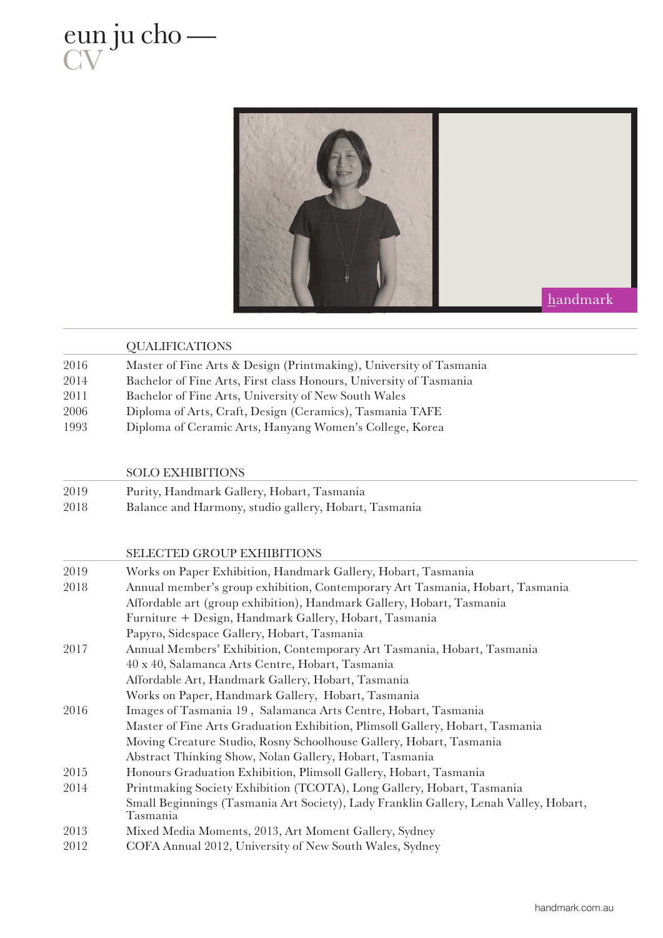



|      | <b>QUALIFICATIONS</b>                                              |
|------|--------------------------------------------------------------------|
| 2016 | Master of Fine Arts & Design (Printmaking), University of Tasmania |
| 2014 | Bachelor of Fine Arts, First class Honours, University of Tasmania |
| 2011 | Bachelor of Fine Arts, University of New South Wales               |
| 2006 | Diploma of Arts, Craft, Design (Ceramics), Tasmania TAFE           |
| 1993 | Diploma of Ceramic Arts, Hanyang Women's College, Korea            |
|      |                                                                    |

SOLO EXHIBITIONS

| 2019 | Purity, Handmark Gallery, Hobart, Tasmania |
|------|--------------------------------------------|
| 0010 | ידי וודר ווינו נותן ווינו היו              |

2018 Balance and Harmony, studio gallery, Hobart, Tasmania

## SELECTED GROUP EXHIBITIONS

| 2019 | Works on Paper Exhibition, Handmark Gallery, Hobart, Tasmania                                     |
|------|---------------------------------------------------------------------------------------------------|
| 2018 | Annual member's group exhibition, Contemporary Art Tasmania, Hobart, Tasmania                     |
|      | Affordable art (group exhibition), Handmark Gallery, Hobart, Tasmania                             |
|      | Furniture + Design, Handmark Gallery, Hobart, Tasmania                                            |
|      | Papyro, Sidespace Gallery, Hobart, Tasmania                                                       |
| 2017 | Annual Members' Exhibition, Contemporary Art Tasmania, Hobart, Tasmania                           |
|      | 40 x 40, Salamanca Arts Centre, Hobart, Tasmania                                                  |
|      | Affordable Art, Handmark Gallery, Hobart, Tasmania                                                |
|      | Works on Paper, Handmark Gallery, Hobart, Tasmania                                                |
| 2016 | Images of Tasmania 19, Salamanca Arts Centre, Hobart, Tasmania                                    |
|      | Master of Fine Arts Graduation Exhibition, Plimsoll Gallery, Hobart, Tasmania                     |
|      | Moving Creature Studio, Rosny Schoolhouse Gallery, Hobart, Tasmania                               |
|      | Abstract Thinking Show, Nolan Gallery, Hobart, Tasmania                                           |
| 2015 | Honours Graduation Exhibition, Plimsoll Gallery, Hobart, Tasmania                                 |
| 2014 | Printmaking Society Exhibition (TCOTA), Long Gallery, Hobart, Tasmania                            |
|      | Small Beginnings (Tasmania Art Society), Lady Franklin Gallery, Lenah Valley, Hobart,<br>Tasmania |
| 2013 | Mixed Media Moments, 2013, Art Moment Gallery, Sydney                                             |
| 2012 | COFA Annual 2012, University of New South Wales, Sydney                                           |